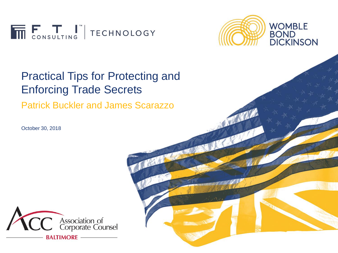



#### Practical Tips for Protecting and Enforcing Trade Secrets

Patrick Buckler and James Scarazzo

October 30, 2018

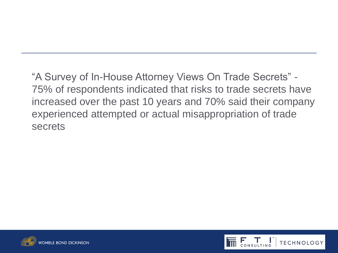"A Survey of In-House Attorney Views On Trade Secrets" - 75% of respondents indicated that risks to trade secrets have increased over the past 10 years and 70% said their company experienced attempted or actual misappropriation of trade secrets



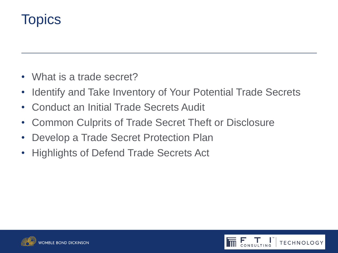#### **Topics**

- What is a trade secret?
- Identify and Take Inventory of Your Potential Trade Secrets
- Conduct an Initial Trade Secrets Audit
- Common Culprits of Trade Secret Theft or Disclosure
- Develop a Trade Secret Protection Plan
- Highlights of Defend Trade Secrets Act



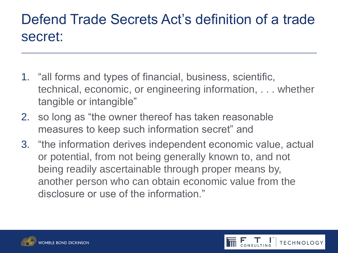#### Defend Trade Secrets Act's definition of a trade secret:

- 1. "all forms and types of financial, business, scientific, technical, economic, or engineering information, . . . whether tangible or intangible"
- 2. so long as "the owner thereof has taken reasonable measures to keep such information secret" and
- 3. "the information derives independent economic value, actual or potential, from not being generally known to, and not being readily ascertainable through proper means by, another person who can obtain economic value from the disclosure or use of the information."

**TECHNOLOGY** 

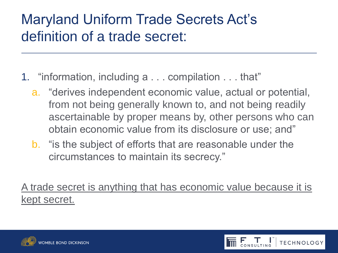## Maryland Uniform Trade Secrets Act's definition of a trade secret:

- 1. "information, including a . . . compilation . . . that"
	- a. "derives independent economic value, actual or potential, from not being generally known to, and not being readily ascertainable by proper means by, other persons who can obtain economic value from its disclosure or use; and"
	- b. "is the subject of efforts that are reasonable under the circumstances to maintain its secrecy."

A trade secret is anything that has economic value because it is kept secret.



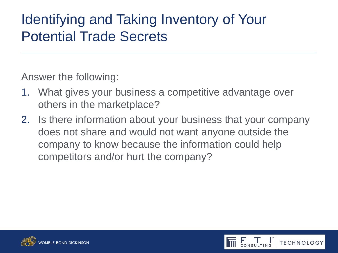### Identifying and Taking Inventory of Your Potential Trade Secrets

Answer the following:

- 1. What gives your business a competitive advantage over others in the marketplace?
- 2. Is there information about your business that your company does not share and would not want anyone outside the company to know because the information could help competitors and/or hurt the company?



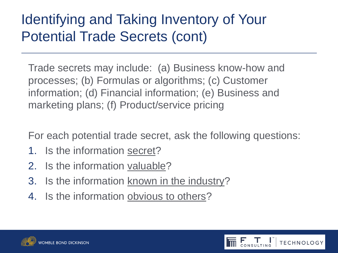# Identifying and Taking Inventory of Your Potential Trade Secrets (cont)

Trade secrets may include: (a) Business know-how and processes; (b) Formulas or algorithms; (c) Customer information; (d) Financial information; (e) Business and marketing plans; (f) Product/service pricing

For each potential trade secret, ask the following questions:

- 1. Is the information secret?
- 2. Is the information valuable?
- 3. Is the information known in the industry?
- 4. Is the information obvious to others?



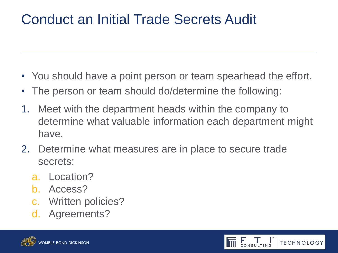# Conduct an Initial Trade Secrets Audit

- You should have a point person or team spearhead the effort.
- The person or team should do/determine the following:
- 1. Meet with the department heads within the company to determine what valuable information each department might have.
- 2. Determine what measures are in place to secure trade secrets:
	- a. Location?
	- b. Access?
	- c. Written policies?
	- d. Agreements?



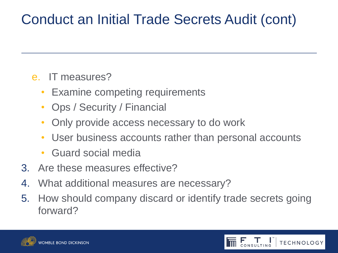# Conduct an Initial Trade Secrets Audit (cont)

#### e. IT measures?

- Examine competing requirements
- Ops / Security / Financial
- Only provide access necessary to do work
- User business accounts rather than personal accounts
- Guard social media
- 3. Are these measures effective?
- 4. What additional measures are necessary?
- 5. How should company discard or identify trade secrets going forward?



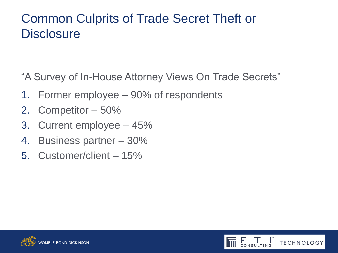#### Common Culprits of Trade Secret Theft or **Disclosure**

"A Survey of In-House Attorney Views On Trade Secrets"

- 1. Former employee 90% of respondents
- 2. Competitor 50%
- 3. Current employee 45%
- 4. Business partner 30%
- 5. Customer/client 15%



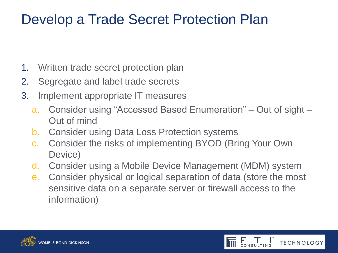- 1. Written trade secret protection plan
- 2. Segregate and label trade secrets
- 3. Implement appropriate IT measures
	- a. Consider using "Accessed Based Enumeration" Out of sight Out of mind
	- b. Consider using Data Loss Protection systems
	- c. Consider the risks of implementing BYOD (Bring Your Own Device)
	- d. Consider using a Mobile Device Management (MDM) system
	- e. Consider physical or logical separation of data (store the most sensitive data on a separate server or firewall access to the information)

**TECHNOLOGY** 

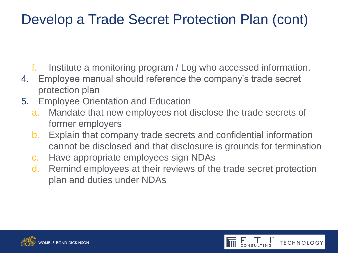- f. Institute a monitoring program / Log who accessed information.
- 4. Employee manual should reference the company's trade secret protection plan
- 5. Employee Orientation and Education
	- a. Mandate that new employees not disclose the trade secrets of former employers
	- b. Explain that company trade secrets and confidential information cannot be disclosed and that disclosure is grounds for termination
	- c. Have appropriate employees sign NDAs
	- d. Remind employees at their reviews of the trade secret protection plan and duties under NDAs



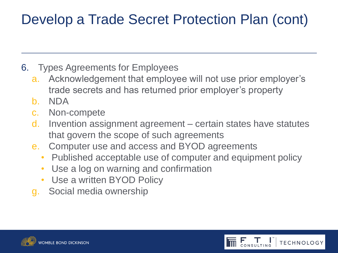- 6. Types Agreements for Employees
	- a. Acknowledgement that employee will not use prior employer's trade secrets and has returned prior employer's property
	- b. NDA
	- c. Non-compete
	- d. Invention assignment agreement certain states have statutes that govern the scope of such agreements
	- e. Computer use and access and BYOD agreements
		- Published acceptable use of computer and equipment policy

**TECHNOLOGY** 

- Use a log on warning and confirmation
- Use a written BYOD Policy
- g. Social media ownership

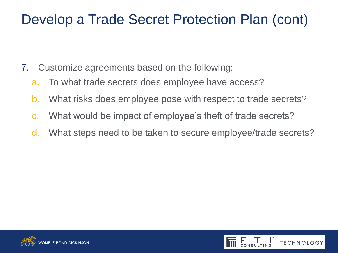- 7. Customize agreements based on the following:
	- a. To what trade secrets does employee have access?
	- b. What risks does employee pose with respect to trade secrets?
	- c. What would be impact of employee's theft of trade secrets?
	- d. What steps need to be taken to secure employee/trade secrets?



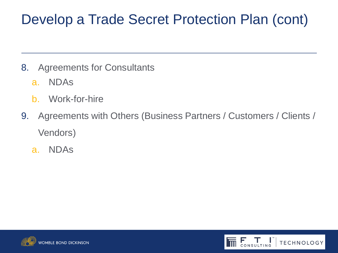- 8. Agreements for Consultants
	- a. NDAs
	- b. Work-for-hire
- 9. Agreements with Others (Business Partners / Customers / Clients / Vendors)
	- a. NDAs



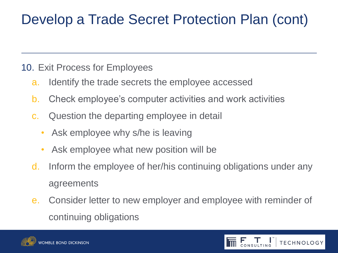#### 10. Exit Process for Employees

- a. Identify the trade secrets the employee accessed
- b. Check employee's computer activities and work activities
- c. Question the departing employee in detail
	- Ask employee why s/he is leaving
	- Ask employee what new position will be
- d. Inform the employee of her/his continuing obligations under any agreements
- e. Consider letter to new employer and employee with reminder of continuing obligations



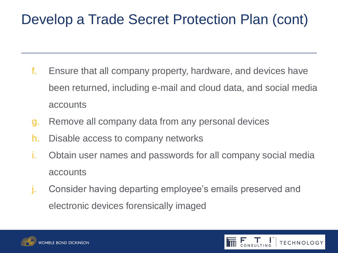- f. Ensure that all company property, hardware, and devices have been returned, including e-mail and cloud data, and social media accounts
- g. Remove all company data from any personal devices
- h. Disable access to company networks
- i. Obtain user names and passwords for all company social media accounts
- j. Consider having departing employee's emails preserved and electronic devices forensically imaged



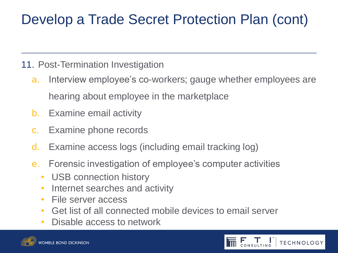#### 11. Post-Termination Investigation

- a. Interview employee's co-workers; gauge whether employees are hearing about employee in the marketplace
- b. Examine email activity
- c. Examine phone records
- d. Examine access logs (including email tracking log)
- e. Forensic investigation of employee's computer activities
	- USB connection history
	- Internet searches and activity
	- File server access
	- Get list of all connected mobile devices to email server
	- Disable access to network



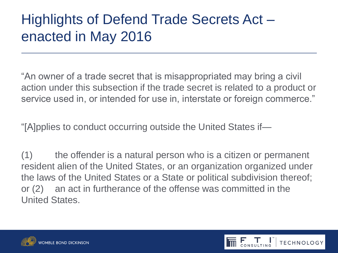### Highlights of Defend Trade Secrets Act – enacted in May 2016

"An owner of a trade secret that is misappropriated may bring a civil action under this subsection if the trade secret is related to a product or service used in, or intended for use in, interstate or foreign commerce."

"[A]pplies to conduct occurring outside the United States if—

(1) the offender is a natural person who is a citizen or permanent resident alien of the United States, or an organization organized under the laws of the United States or a State or political subdivision thereof; or (2) an act in furtherance of the offense was committed in the United States.

**TECHNOLOGY** 

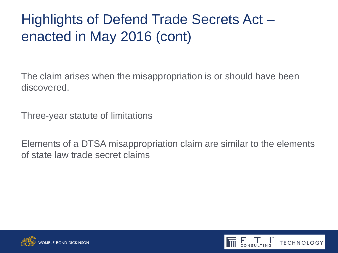## Highlights of Defend Trade Secrets Act – enacted in May 2016 (cont)

The claim arises when the misappropriation is or should have been discovered.

Three-year statute of limitations

Elements of a DTSA misappropriation claim are similar to the elements of state law trade secret claims



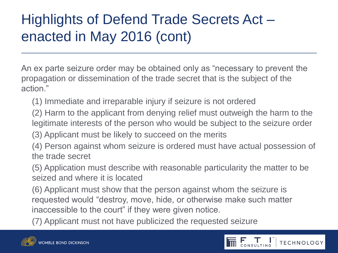# Highlights of Defend Trade Secrets Act – enacted in May 2016 (cont)

An ex parte seizure order may be obtained only as "necessary to prevent the propagation or dissemination of the trade secret that is the subject of the action."

(1) Immediate and irreparable injury if seizure is not ordered

(2) Harm to the applicant from denying relief must outweigh the harm to the legitimate interests of the person who would be subject to the seizure order

(3) Applicant must be likely to succeed on the merits

(4) Person against whom seizure is ordered must have actual possession of the trade secret

(5) Application must describe with reasonable particularity the matter to be seized and where it is located

(6) Applicant must show that the person against whom the seizure is requested would "destroy, move, hide, or otherwise make such matter inaccessible to the court" if they were given notice.

(7) Applicant must not have publicized the requested seizure



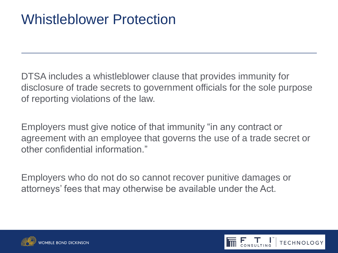#### Whistleblower Protection

DTSA includes a whistleblower clause that provides immunity for disclosure of trade secrets to government officials for the sole purpose of reporting violations of the law.

Employers must give notice of that immunity "in any contract or agreement with an employee that governs the use of a trade secret or other confidential information."

Employers who do not do so cannot recover punitive damages or attorneys' fees that may otherwise be available under the Act.



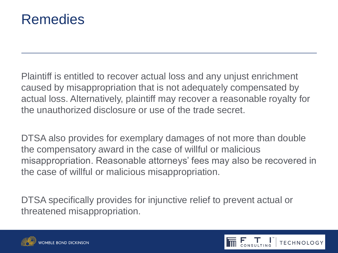

Plaintiff is entitled to recover actual loss and any unjust enrichment caused by misappropriation that is not adequately compensated by actual loss. Alternatively, plaintiff may recover a reasonable royalty for the unauthorized disclosure or use of the trade secret.

DTSA also provides for exemplary damages of not more than double the compensatory award in the case of willful or malicious misappropriation. Reasonable attorneys' fees may also be recovered in the case of willful or malicious misappropriation.

DTSA specifically provides for injunctive relief to prevent actual or threatened misappropriation.